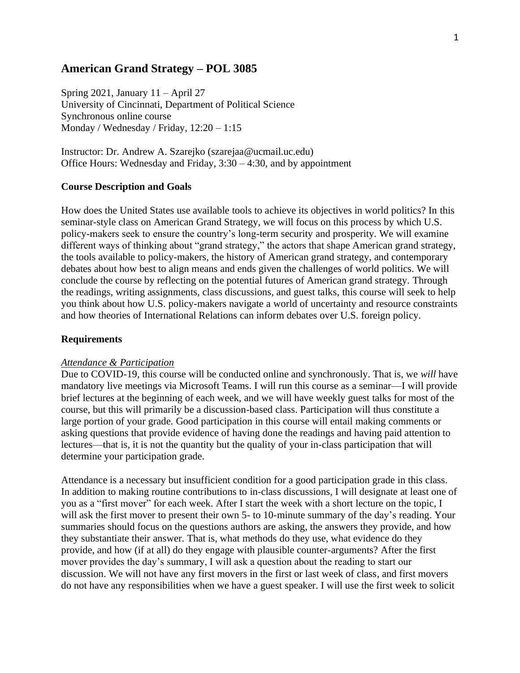### **American Grand Strategy – POL 3085**

Spring 2021, January 11 – April 27 University of Cincinnati, Department of Political Science Synchronous online course Monday / Wednesday / Friday, 12:20 – 1:15

Instructor: Dr. Andrew A. Szarejko (szarejaa@ucmail.uc.edu) Office Hours: Wednesday and Friday, 3:30 – 4:30, and by appointment

#### **Course Description and Goals**

How does the United States use available tools to achieve its objectives in world politics? In this seminar-style class on American Grand Strategy, we will focus on this process by which U.S. policy-makers seek to ensure the country's long-term security and prosperity. We will examine different ways of thinking about "grand strategy," the actors that shape American grand strategy, the tools available to policy-makers, the history of American grand strategy, and contemporary debates about how best to align means and ends given the challenges of world politics. We will conclude the course by reflecting on the potential futures of American grand strategy. Through the readings, writing assignments, class discussions, and guest talks, this course will seek to help you think about how U.S. policy-makers navigate a world of uncertainty and resource constraints and how theories of International Relations can inform debates over U.S. foreign policy.

#### **Requirements**

#### *Attendance & Participation*

Due to COVID-19, this course will be conducted online and synchronously. That is, we *will* have mandatory live meetings via Microsoft Teams. I will run this course as a seminar—I will provide brief lectures at the beginning of each week, and we will have weekly guest talks for most of the course, but this will primarily be a discussion-based class. Participation will thus constitute a large portion of your grade. Good participation in this course will entail making comments or asking questions that provide evidence of having done the readings and having paid attention to lectures—that is, it is not the quantity but the quality of your in-class participation that will determine your participation grade.

Attendance is a necessary but insufficient condition for a good participation grade in this class. In addition to making routine contributions to in-class discussions, I will designate at least one of you as a "first mover" for each week. After I start the week with a short lecture on the topic, I will ask the first mover to present their own 5- to 10-minute summary of the day's reading. Your summaries should focus on the questions authors are asking, the answers they provide, and how they substantiate their answer. That is, what methods do they use, what evidence do they provide, and how (if at all) do they engage with plausible counter-arguments? After the first mover provides the day's summary, I will ask a question about the reading to start our discussion. We will not have any first movers in the first or last week of class, and first movers do not have any responsibilities when we have a guest speaker. I will use the first week to solicit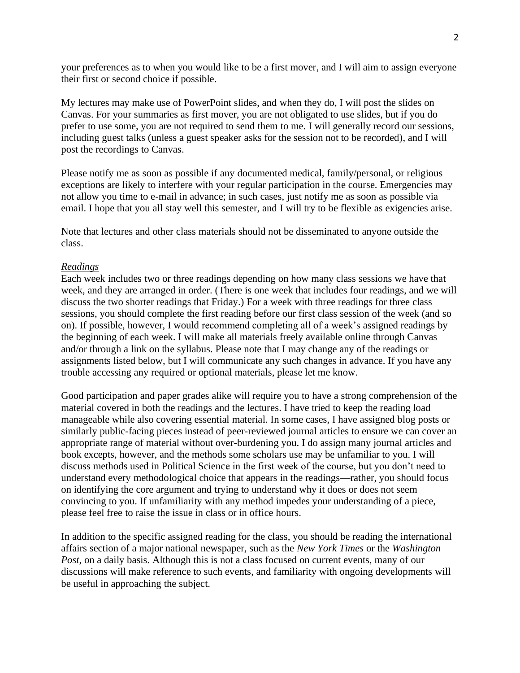your preferences as to when you would like to be a first mover, and I will aim to assign everyone their first or second choice if possible.

My lectures may make use of PowerPoint slides, and when they do, I will post the slides on Canvas. For your summaries as first mover, you are not obligated to use slides, but if you do prefer to use some, you are not required to send them to me. I will generally record our sessions, including guest talks (unless a guest speaker asks for the session not to be recorded), and I will post the recordings to Canvas.

Please notify me as soon as possible if any documented medical, family/personal, or religious exceptions are likely to interfere with your regular participation in the course. Emergencies may not allow you time to e-mail in advance; in such cases, just notify me as soon as possible via email. I hope that you all stay well this semester, and I will try to be flexible as exigencies arise.

Note that lectures and other class materials should not be disseminated to anyone outside the class.

#### *Readings*

Each week includes two or three readings depending on how many class sessions we have that week, and they are arranged in order. (There is one week that includes four readings, and we will discuss the two shorter readings that Friday.) For a week with three readings for three class sessions, you should complete the first reading before our first class session of the week (and so on). If possible, however, I would recommend completing all of a week's assigned readings by the beginning of each week. I will make all materials freely available online through Canvas and/or through a link on the syllabus. Please note that I may change any of the readings or assignments listed below, but I will communicate any such changes in advance. If you have any trouble accessing any required or optional materials, please let me know.

Good participation and paper grades alike will require you to have a strong comprehension of the material covered in both the readings and the lectures. I have tried to keep the reading load manageable while also covering essential material. In some cases, I have assigned blog posts or similarly public-facing pieces instead of peer-reviewed journal articles to ensure we can cover an appropriate range of material without over-burdening you. I do assign many journal articles and book excepts, however, and the methods some scholars use may be unfamiliar to you. I will discuss methods used in Political Science in the first week of the course, but you don't need to understand every methodological choice that appears in the readings—rather, you should focus on identifying the core argument and trying to understand why it does or does not seem convincing to you. If unfamiliarity with any method impedes your understanding of a piece, please feel free to raise the issue in class or in office hours.

In addition to the specific assigned reading for the class, you should be reading the international affairs section of a major national newspaper, such as the *New York Times* or the *Washington Post*, on a daily basis. Although this is not a class focused on current events, many of our discussions will make reference to such events, and familiarity with ongoing developments will be useful in approaching the subject.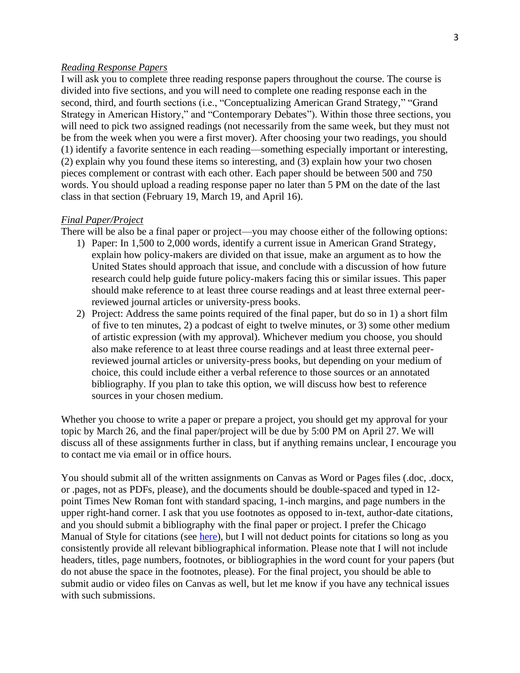#### *Reading Response Papers*

I will ask you to complete three reading response papers throughout the course. The course is divided into five sections, and you will need to complete one reading response each in the second, third, and fourth sections (i.e., "Conceptualizing American Grand Strategy," "Grand Strategy in American History," and "Contemporary Debates"). Within those three sections, you will need to pick two assigned readings (not necessarily from the same week, but they must not be from the week when you were a first mover). After choosing your two readings, you should (1) identify a favorite sentence in each reading—something especially important or interesting, (2) explain why you found these items so interesting, and (3) explain how your two chosen pieces complement or contrast with each other. Each paper should be between 500 and 750 words. You should upload a reading response paper no later than 5 PM on the date of the last class in that section (February 19, March 19, and April 16).

#### *Final Paper/Project*

There will be also be a final paper or project—you may choose either of the following options:

- 1) Paper: In 1,500 to 2,000 words, identify a current issue in American Grand Strategy, explain how policy-makers are divided on that issue, make an argument as to how the United States should approach that issue, and conclude with a discussion of how future research could help guide future policy-makers facing this or similar issues. This paper should make reference to at least three course readings and at least three external peerreviewed journal articles or university-press books.
- 2) Project: Address the same points required of the final paper, but do so in 1) a short film of five to ten minutes, 2) a podcast of eight to twelve minutes, or 3) some other medium of artistic expression (with my approval). Whichever medium you choose, you should also make reference to at least three course readings and at least three external peerreviewed journal articles or university-press books, but depending on your medium of choice, this could include either a verbal reference to those sources or an annotated bibliography. If you plan to take this option, we will discuss how best to reference sources in your chosen medium.

Whether you choose to write a paper or prepare a project, you should get my approval for your topic by March 26, and the final paper/project will be due by 5:00 PM on April 27. We will discuss all of these assignments further in class, but if anything remains unclear, I encourage you to contact me via email or in office hours.

You should submit all of the written assignments on Canvas as Word or Pages files (.doc, .docx, or .pages, not as PDFs, please), and the documents should be double-spaced and typed in 12 point Times New Roman font with standard spacing, 1-inch margins, and page numbers in the upper right-hand corner. I ask that you use footnotes as opposed to in-text, author-date citations, and you should submit a bibliography with the final paper or project. I prefer the Chicago Manual of Style for citations (see [here\)](https://www.chicagomanualofstyle.org/tools_citationguide/citation-guide-1.html), but I will not deduct points for citations so long as you consistently provide all relevant bibliographical information. Please note that I will not include headers, titles, page numbers, footnotes, or bibliographies in the word count for your papers (but do not abuse the space in the footnotes, please). For the final project, you should be able to submit audio or video files on Canvas as well, but let me know if you have any technical issues with such submissions.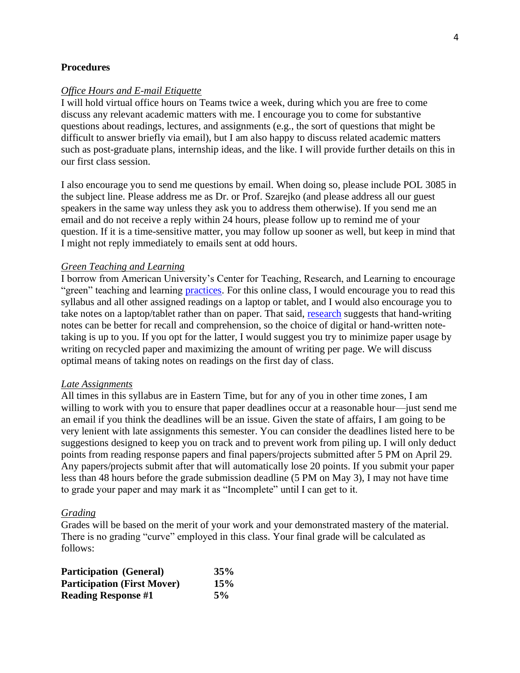#### **Procedures**

#### *Office Hours and E-mail Etiquette*

I will hold virtual office hours on Teams twice a week, during which you are free to come discuss any relevant academic matters with me. I encourage you to come for substantive questions about readings, lectures, and assignments (e.g., the sort of questions that might be difficult to answer briefly via email), but I am also happy to discuss related academic matters such as post-graduate plans, internship ideas, and the like. I will provide further details on this in our first class session.

I also encourage you to send me questions by email. When doing so, please include POL 3085 in the subject line. Please address me as Dr. or Prof. Szarejko (and please address all our guest speakers in the same way unless they ask you to address them otherwise). If you send me an email and do not receive a reply within 24 hours, please follow up to remind me of your question. If it is a time-sensitive matter, you may follow up sooner as well, but keep in mind that I might not reply immediately to emails sent at odd hours.

#### *Green Teaching and Learning*

I borrow from American University's Center for Teaching, Research, and Learning to encourage "green" teaching and learning [practices.](https://edspace.american.edu/ctrl/greenteaching/greenteachingcertcriteria/) For this online class, I would encourage you to read this syllabus and all other assigned readings on a laptop or tablet, and I would also encourage you to take notes on a laptop/tablet rather than on paper. That said, [research](https://www.nytimes.com/2017/11/22/business/laptops-not-during-lecture-or-meeting.html?_r=0) suggests that hand-writing notes can be better for recall and comprehension, so the choice of digital or hand-written notetaking is up to you. If you opt for the latter, I would suggest you try to minimize paper usage by writing on recycled paper and maximizing the amount of writing per page. We will discuss optimal means of taking notes on readings on the first day of class.

#### *Late Assignments*

All times in this syllabus are in Eastern Time, but for any of you in other time zones, I am willing to work with you to ensure that paper deadlines occur at a reasonable hour—just send me an email if you think the deadlines will be an issue. Given the state of affairs, I am going to be very lenient with late assignments this semester. You can consider the deadlines listed here to be suggestions designed to keep you on track and to prevent work from piling up. I will only deduct points from reading response papers and final papers/projects submitted after 5 PM on April 29. Any papers/projects submit after that will automatically lose 20 points. If you submit your paper less than 48 hours before the grade submission deadline (5 PM on May 3), I may not have time to grade your paper and may mark it as "Incomplete" until I can get to it.

#### *Grading*

Grades will be based on the merit of your work and your demonstrated mastery of the material. There is no grading "curve" employed in this class. Your final grade will be calculated as follows:

| <b>Participation</b> (General)     | 35% |
|------------------------------------|-----|
| <b>Participation (First Mover)</b> | 15% |
| <b>Reading Response #1</b>         | 5%  |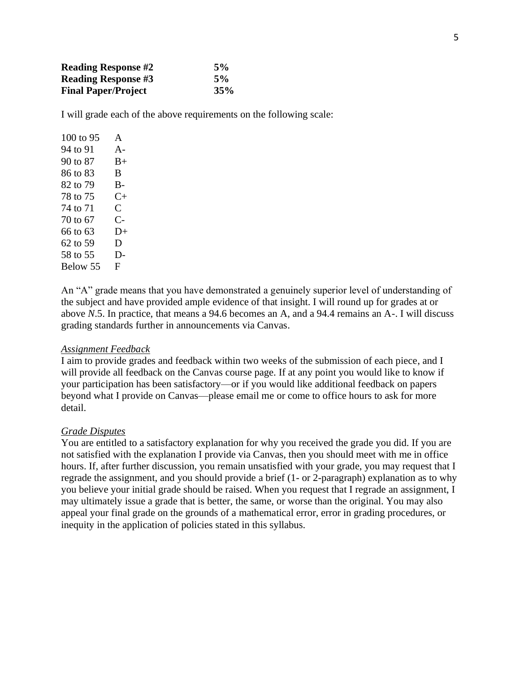| <b>Reading Response #2</b> | 5%  |
|----------------------------|-----|
| <b>Reading Response #3</b> | 5%  |
| <b>Final Paper/Project</b> | 35% |

I will grade each of the above requirements on the following scale:

| 100 to $95$ | $\mathbf{A}$         |
|-------------|----------------------|
| 94 to 91    | $A -$                |
| 90 to 87    | B+                   |
| 86 to 83    | B.                   |
| 82 to 79    | В-                   |
| 78 to 75    | $C_{\pm}$            |
| 74 to 71    | $\subset$            |
| 70 to 67    | $\mathsf{C}\text{-}$ |
| 66 to 63    | D+                   |
| 62 to 59    | D                    |
| 58 to 55    | D-                   |
| Below 55    | F.                   |
|             |                      |

An "A" grade means that you have demonstrated a genuinely superior level of understanding of the subject and have provided ample evidence of that insight. I will round up for grades at or above *N*.5. In practice, that means a 94.6 becomes an A, and a 94.4 remains an A-. I will discuss grading standards further in announcements via Canvas.

#### *Assignment Feedback*

I aim to provide grades and feedback within two weeks of the submission of each piece, and I will provide all feedback on the Canvas course page. If at any point you would like to know if your participation has been satisfactory—or if you would like additional feedback on papers beyond what I provide on Canvas—please email me or come to office hours to ask for more detail.

#### *Grade Disputes*

You are entitled to a satisfactory explanation for why you received the grade you did. If you are not satisfied with the explanation I provide via Canvas, then you should meet with me in office hours. If, after further discussion, you remain unsatisfied with your grade, you may request that I regrade the assignment, and you should provide a brief (1- or 2-paragraph) explanation as to why you believe your initial grade should be raised. When you request that I regrade an assignment, I may ultimately issue a grade that is better, the same, or worse than the original. You may also appeal your final grade on the grounds of a mathematical error, error in grading procedures, or inequity in the application of policies stated in this syllabus.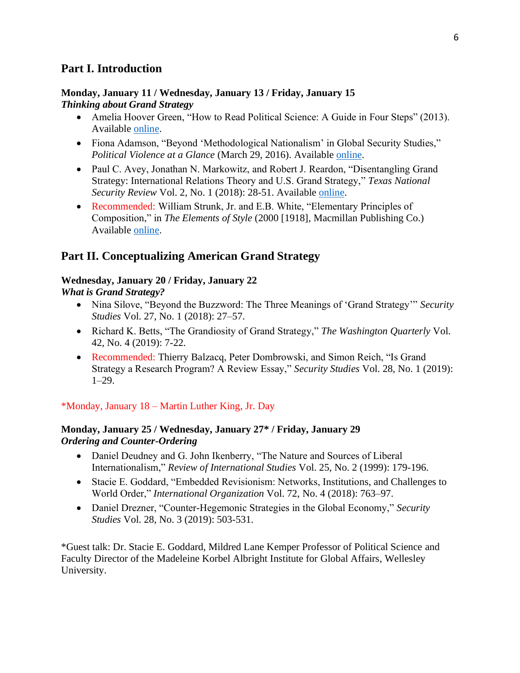## **Part I. Introduction**

### **Monday, January 11 / Wednesday, January 13 / Friday, January 15**  *Thinking about Grand Strategy*

- Amelia Hoover Green, "How to Read Political Science: A Guide in Four Steps" (2013). Available [online.](https://calgara.github.io/Pol157_Spring2019/howtoread.pdf)
- Fiona Adamson, "Beyond 'Methodological Nationalism' in Global Security Studies," *Political Violence at a Glance* (March 29, 2016). Available [online.](https://politicalviolenceataglance.org/2016/03/29/beyond-methodological-nationalism-in-global-security-studies/)
- Paul C. Avey, Jonathan N. Markowitz, and Robert J. Reardon, "Disentangling Grand Strategy: International Relations Theory and U.S. Grand Strategy," *Texas National Security Review* Vol. 2, No. 1 (2018): 28-51. Available [online.](http://dx.doi.org/10.26153/tsw/869)
- Recommended: William Strunk, Jr. and E.B. White, "Elementary Principles of Composition," in *The Elements of Style* (2000 [1918], Macmillan Publishing Co.) Available [online.](https://www.bartleby.com/141/strunk5.html)

# **Part II. Conceptualizing American Grand Strategy**

# **Wednesday, January 20 / Friday, January 22**

### *What is Grand Strategy?*

- Nina Silove, "Beyond the Buzzword: The Three Meanings of 'Grand Strategy'" *Security Studies* Vol. 27, No. 1 (2018): 27–57.
- Richard K. Betts, "The Grandiosity of Grand Strategy," *The Washington Quarterly* Vol. 42, No. 4 (2019): 7-22.
- Recommended: Thierry Balzacq, Peter Dombrowski, and Simon Reich, "Is Grand Strategy a Research Program? A Review Essay," *Security Studies* Vol. 28, No. 1 (2019): 1–29.

### \*Monday, January 18 – Martin Luther King, Jr. Day

### **Monday, January 25 / Wednesday, January 27\* / Friday, January 29**  *Ordering and Counter-Ordering*

- Daniel Deudney and G. John Ikenberry, "The Nature and Sources of Liberal Internationalism," *Review of International Studies* Vol. 25, No. 2 (1999): 179-196.
- Stacie E. Goddard, "Embedded Revisionism: Networks, Institutions, and Challenges to World Order," *International Organization* Vol. 72, No. 4 (2018): 763–97.
- Daniel Drezner, "Counter-Hegemonic Strategies in the Global Economy," *Security Studies* Vol. 28, No. 3 (2019): 503-531.

\*Guest talk: Dr. Stacie E. Goddard, Mildred Lane Kemper Professor of Political Science and Faculty Director of the Madeleine Korbel Albright Institute for Global Affairs, Wellesley University.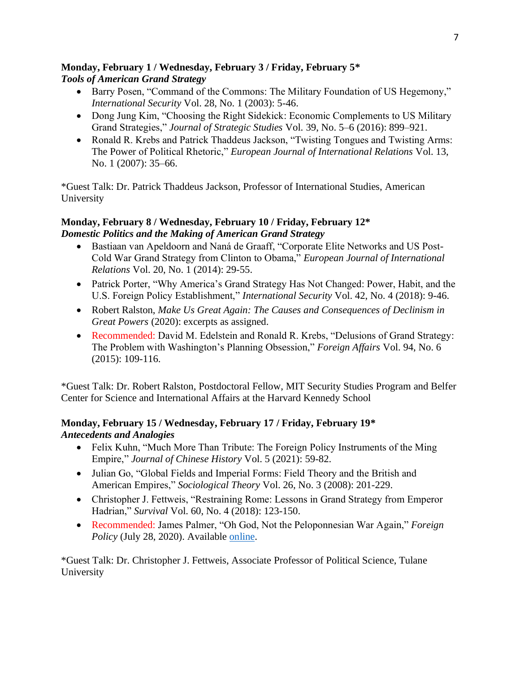### **Monday, February 1 / Wednesday, February 3 / Friday, February 5\*** *Tools of American Grand Strategy*

- Barry Posen, "Command of the Commons: The Military Foundation of US Hegemony," *International Security* Vol. 28, No. 1 (2003): 5-46.
- Dong Jung Kim, "Choosing the Right Sidekick: Economic Complements to US Military Grand Strategies," *Journal of Strategic Studies* Vol. 39, No. 5–6 (2016): 899–921.
- Ronald R. Krebs and Patrick Thaddeus Jackson, "Twisting Tongues and Twisting Arms: The Power of Political Rhetoric," *European Journal of International Relations* Vol. 13, No. 1 (2007): 35–66.

\*Guest Talk: Dr. Patrick Thaddeus Jackson, Professor of International Studies, American University

### **Monday, February 8 / Wednesday, February 10 / Friday, February 12\*** *Domestic Politics and the Making of American Grand Strategy*

- Bastiaan van Apeldoorn and Naná de Graaff, "Corporate Elite Networks and US Post-Cold War Grand Strategy from Clinton to Obama," *European Journal of International Relations* Vol. 20, No. 1 (2014): 29-55.
- Patrick Porter, "Why America's Grand Strategy Has Not Changed: Power, Habit, and the U.S. Foreign Policy Establishment," *International Security* Vol. 42, No. 4 (2018): 9-46.
- Robert Ralston, *Make Us Great Again: The Causes and Consequences of Declinism in Great Powers* (2020): excerpts as assigned.
- Recommended: David M. Edelstein and Ronald R. Krebs, "Delusions of Grand Strategy: The Problem with Washington's Planning Obsession," *Foreign Affairs* Vol. 94, No. 6 (2015): 109-116.

\*Guest Talk: Dr. Robert Ralston, Postdoctoral Fellow, MIT Security Studies Program and Belfer Center for Science and International Affairs at the Harvard Kennedy School

## **Monday, February 15 / Wednesday, February 17 / Friday, February 19\*** *Antecedents and Analogies*

- Felix Kuhn, "Much More Than Tribute: The Foreign Policy Instruments of the Ming Empire," *Journal of Chinese History* Vol. 5 (2021): 59-82.
- Julian Go, "Global Fields and Imperial Forms: Field Theory and the British and American Empires," *Sociological Theory* Vol. 26, No. 3 (2008): 201-229.
- Christopher J. Fettweis, "Restraining Rome: Lessons in Grand Strategy from Emperor Hadrian," *Survival* Vol. 60, No. 4 (2018): 123-150.
- Recommended: James Palmer, "Oh God, Not the Peloponnesian War Again," *Foreign Policy* (July 28, 2020). Available [online.](https://foreignpolicy.com/2020/07/28/oh-god-not-the-peloponnesian-war-again/)

\*Guest Talk: Dr. Christopher J. Fettweis, Associate Professor of Political Science, Tulane University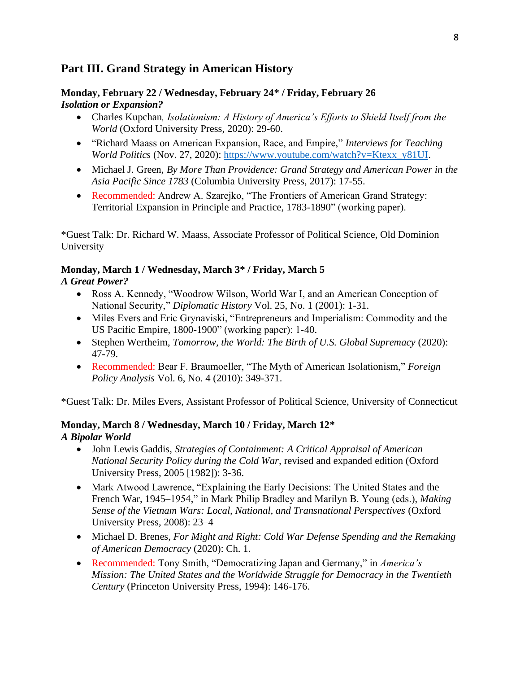# **Part III. Grand Strategy in American History**

### **Monday, February 22 / Wednesday, February 24\* / Friday, February 26** *Isolation or Expansion?*

- Charles Kupchan*, Isolationism: A History of America's Efforts to Shield Itself from the World* (Oxford University Press, 2020): 29-60.
- "Richard Maass on American Expansion, Race, and Empire," *Interviews for Teaching World Politics* (Nov. 27, 2020): [https://www.youtube.com/watch?v=Ktexx\\_y81UI.](https://www.youtube.com/watch?v=Ktexx_y81UI)
- Michael J. Green, *By More Than Providence: Grand Strategy and American Power in the Asia Pacific Since 1783* (Columbia University Press, 2017): 17-55.
- Recommended: Andrew A. Szarejko, "The Frontiers of American Grand Strategy: Territorial Expansion in Principle and Practice, 1783-1890" (working paper).

\*Guest Talk: Dr. Richard W. Maass, Associate Professor of Political Science, Old Dominion University

### **Monday, March 1 / Wednesday, March 3\* / Friday, March 5**

### *A Great Power?*

- Ross A. Kennedy, "Woodrow Wilson, World War I, and an American Conception of National Security," *Diplomatic History* Vol. 25, No. 1 (2001): 1-31.
- Miles Evers and Eric Grynaviski, "Entrepreneurs and Imperialism: Commodity and the US Pacific Empire, 1800-1900" (working paper): 1-40.
- Stephen Wertheim, *Tomorrow, the World: The Birth of U.S. Global Supremacy* (2020): 47-79.
- Recommended: Bear F. Braumoeller, "The Myth of American Isolationism," *Foreign Policy Analysis* Vol. 6, No. 4 (2010): 349-371.

\*Guest Talk: Dr. Miles Evers, Assistant Professor of Political Science, University of Connecticut

### **Monday, March 8 / Wednesday, March 10 / Friday, March 12\*** *A Bipolar World*

- John Lewis Gaddis, *Strategies of Containment: A Critical Appraisal of American National Security Policy during the Cold War,* revised and expanded edition (Oxford University Press, 2005 [1982]): 3-36.
- Mark Atwood Lawrence, "Explaining the Early Decisions: The United States and the French War, 1945–1954," in Mark Philip Bradley and Marilyn B. Young (eds.), *Making Sense of the Vietnam Wars: Local, National, and Transnational Perspectives* (Oxford University Press, 2008): 23–4
- Michael D. Brenes, *For Might and Right: Cold War Defense Spending and the Remaking of American Democracy* (2020): Ch. 1.
- Recommended: Tony Smith, "Democratizing Japan and Germany," in *America's Mission: The United States and the Worldwide Struggle for Democracy in the Twentieth Century* (Princeton University Press, 1994): 146-176.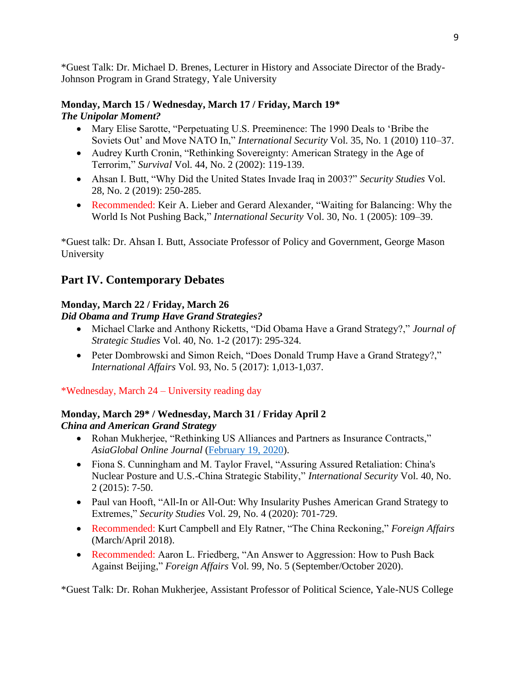\*Guest Talk: Dr. Michael D. Brenes, Lecturer in History and Associate Director of the Brady-Johnson Program in Grand Strategy, Yale University

### **Monday, March 15 / Wednesday, March 17 / Friday, March 19\*** *The Unipolar Moment?*

- Mary Elise Sarotte, "Perpetuating U.S. Preeminence: The 1990 Deals to 'Bribe the Soviets Out' and Move NATO In," *International Security* Vol. 35, No. 1 (2010) 110–37.
- Audrey Kurth Cronin, "Rethinking Sovereignty: American Strategy in the Age of Terrorim," *Survival* Vol. 44, No. 2 (2002): 119-139.
- Ahsan I. Butt, "Why Did the United States Invade Iraq in 2003?" *Security Studies* Vol. 28, No. 2 (2019): 250-285.
- Recommended: Keir A. Lieber and Gerard Alexander, "Waiting for Balancing: Why the World Is Not Pushing Back," *International Security* Vol. 30, No. 1 (2005): 109–39.

\*Guest talk: Dr. Ahsan I. Butt, Associate Professor of Policy and Government, George Mason University

# **Part IV. Contemporary Debates**

# **Monday, March 22 / Friday, March 26**

### *Did Obama and Trump Have Grand Strategies?*

- Michael Clarke and Anthony Ricketts, "Did Obama Have a Grand Strategy?," *Journal of Strategic Studies* Vol. 40, No. 1-2 (2017): 295-324.
- Peter Dombrowski and Simon Reich, "Does Donald Trump Have a Grand Strategy?," *International Affairs* Vol. 93, No. 5 (2017): 1,013-1,037.

\*Wednesday, March 24 – University reading day

### **Monday, March 29\* / Wednesday, March 31 / Friday April 2**  *China and American Grand Strategy*

- Rohan Mukherjee, "Rethinking US Alliances and Partners as Insurance Contracts," *AsiaGlobal Online Journal* [\(February 19, 2020\)](https://www.asiaglobalonline.hku.hk/rethinking-us-alliances-and-partnerships-insurance-contracts).
- Fiona S. Cunningham and M. Taylor Fravel, "Assuring Assured Retaliation: China's Nuclear Posture and U.S.-China Strategic Stability," *International Security* Vol. 40, No. 2 (2015): 7-50.
- Paul van Hooft, "All-In or All-Out: Why Insularity Pushes American Grand Strategy to Extremes," *Security Studies* Vol. 29, No. 4 (2020): 701-729.
- Recommended: Kurt Campbell and Ely Ratner, "The China Reckoning," *Foreign Affairs* (March/April 2018).
- Recommended: Aaron L. Friedberg, "An Answer to Aggression: How to Push Back Against Beijing," *Foreign Affairs* Vol. 99, No. 5 (September/October 2020).

\*Guest Talk: Dr. Rohan Mukherjee, Assistant Professor of Political Science, Yale-NUS College